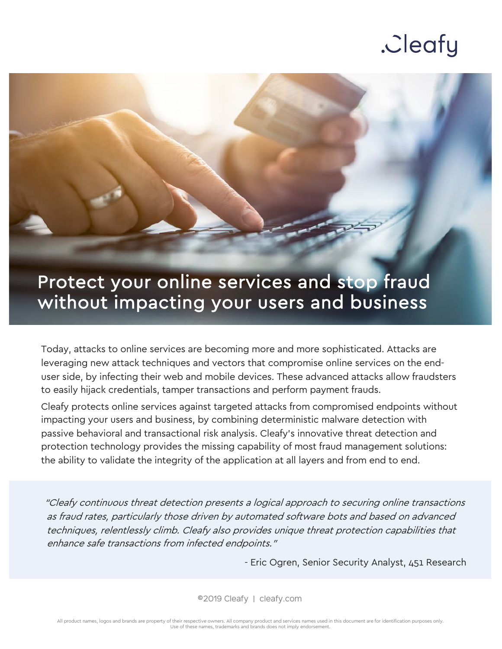

### Protect your online services and stop fraud without impacting your users and business

Today, attacks to online services are becoming more and more sophisticated. Attacks are leveraging new attack techniques and vectors that compromise online services on the enduser side, by infecting their web and mobile devices. These advanced attacks allow fraudsters to easily hijack credentials, tamper transactions and perform payment frauds.

Cleafy protects online services against targeted attacks from compromised endpoints without impacting your users and business, by combining deterministic malware detection with passive behavioral and transactional risk analysis. Cleafy's innovative threat detection and protection technology provides the missing capability of most fraud management solutions: the ability to validate the integrity of the application at all layers and from end to end.

"Cleafy continuous threat detection presents a logical approach to securing online transactions as fraud rates, particularly those driven by automated software bots and based on advanced techniques, relentlessly climb. Cleafy also provides unique threat protection capabilities that enhance safe transactions from infected endpoints."

- Eric Ogren, Senior Security Analyst, 451 Research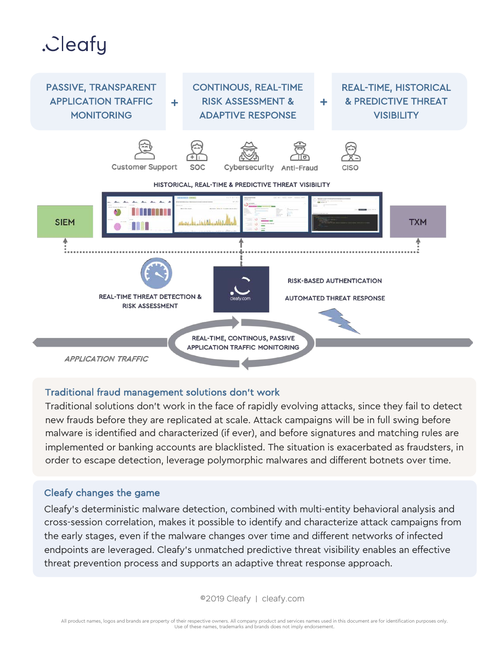

#### Traditional fraud management solutions don't work

Traditional solutions don't work in the face of rapidly evolving attacks, since they fail to detect new frauds before they are replicated at scale. Attack campaigns will be in full swing before malware is identified and characterized (if ever), and before signatures and matching rules are implemented or banking accounts are blacklisted. The situation is exacerbated as fraudsters, in order to escape detection, leverage polymorphic malwares and different botnets over time.

#### Cleafy changes the game

Cleafy's deterministic malware detection, combined with multi-entity behavioral analysis and cross-session correlation, makes it possible to identify and characterize attack campaigns from the early stages, even if the malware changes over time and different networks of infected endpoints are leveraged. Cleafy's unmatched predictive threat visibility enables an effective threat prevention process and supports an adaptive threat response approach.

©2019 Cleafy | cleafy.com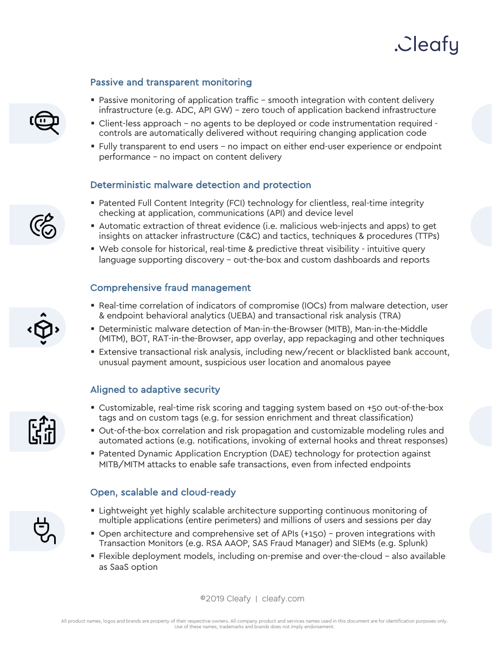#### Passive and transparent monitoring

- Passive monitoring of application traffic smooth integration with content delivery infrastructure (e.g. ADC, API GW) – zero touch of application backend infrastructure
- § Client-less approach no agents to be deployed or code instrumentation required controls are automatically delivered without requiring changing application code
- § Fully transparent to end users no impact on either end-user experience or endpoint performance – no impact on content delivery

#### Deterministic malware detection and protection

- Patented Full Content Integrity (FCI) technology for clientless, real-time integrity checking at application, communications (API) and device level
- § Automatic extraction of threat evidence (i.e. malicious web-injects and apps) to get insights on attacker infrastructure (C&C) and tactics, techniques & procedures (TTPs)
- § Web console for historical, real-time & predictive threat visibility intuitive query language supporting discovery – out-the-box and custom dashboards and reports

#### Comprehensive fraud management

- Real-time correlation of indicators of compromise (IOCs) from malware detection, user & endpoint behavioral analytics (UEBA) and transactional risk analysis (TRA)
- § Deterministic malware detection of Man-in-the-Browser (MITB), Man-in-the-Middle (MITM), BOT, RAT-in-the-Browser, app overlay, app repackaging and other techniques
- Extensive transactional risk analysis, including new/recent or blacklisted bank account, unusual payment amount, suspicious user location and anomalous payee

#### Aligned to adaptive security

- Customizable, real-time risk scoring and tagging system based on +50 out-of-the-box tags and on custom tags (e.g. for session enrichment and threat classification)
- § Out-of-the-box correlation and risk propagation and customizable modeling rules and automated actions (e.g. notifications, invoking of external hooks and threat responses)
- Patented Dynamic Application Encryption (DAE) technology for protection against MITB/MITM attacks to enable safe transactions, even from infected endpoints

#### Open, scalable and cloud-ready

- **Example 1** Lightweight yet highly scalable architecture supporting continuous monitoring of multiple applications (entire perimeters) and millions of users and sessions per day
- § Open architecture and comprehensive set of APIs (+150) proven integrations with Transaction Monitors (e.g. RSA AAOP, SAS Fraud Manager) and SIEMs (e.g. Splunk)
- § Flexible deployment models, including on-premise and over-the-cloud also available as SaaS option